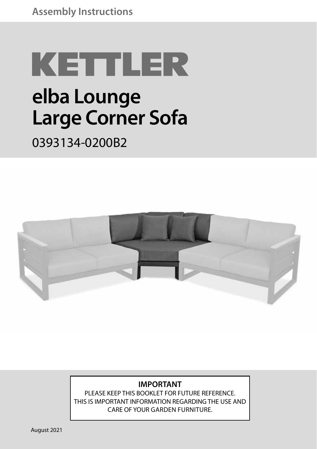# KETTLER

# **elba Lounge Large Corner Sofa**

#### 0393134-0200B2



#### **IMPORTANT**

PLEASE KEEP THIS BOOKLET FOR FUTURE REFERENCE. THIS IS IMPORTANT INFORMATION REGARDING THE USE AND CARE OF YOUR GARDEN FURNITURE.

August 2021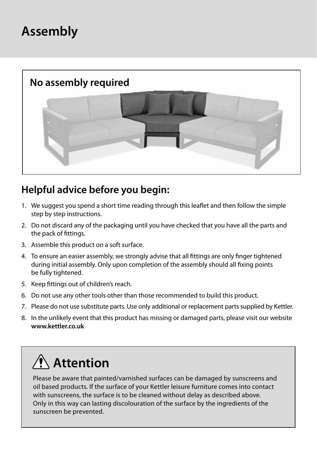### **Assembly**



#### **Helpful advice before you begin:**

- 1. We suggest you spend a short time reading through this leaflet and then follow the simple step by step instructions.
- 2. Do not discard any of the packaging until you have checked that you have all the parts and the pack of fittings.
- 3. Assemble this product on a soft surface.
- 4. To ensure an easier assembly, we strongly advise that all fittings are only finger tightened during initial assembly. Only upon completion of the assembly should all fixing points be fully tightened.
- 5. Keep fittings out of children's reach.
- 6. Do not use any other tools other than those recommended to build this product.
- 7. Please do not use substitute parts. Use only additional or replacement parts supplied by Kettler.
- 8. In the unlikely event that this product has missing or damaged parts, please visit our website **www.kettler.co.uk**

## **Attention**

Please be aware that painted/varnished surfaces can be damaged by sunscreens and oil based products. If the surface of your Kettler leisure furniture comes into contact with sunscreens, the surface is to be cleaned without delay as described above. Only in this way can lasting discolouration of the surface by the ingredients of the sunscreen be prevented.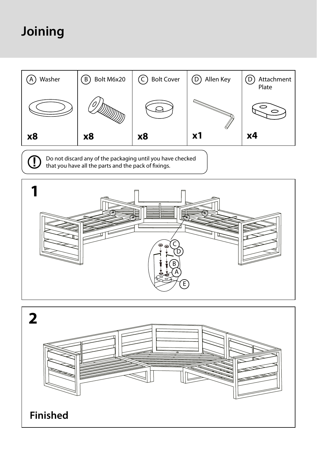## **Joining**

Œ



Do not discard any of the packaging until you have checked that you have all the parts and the pack of fixings.



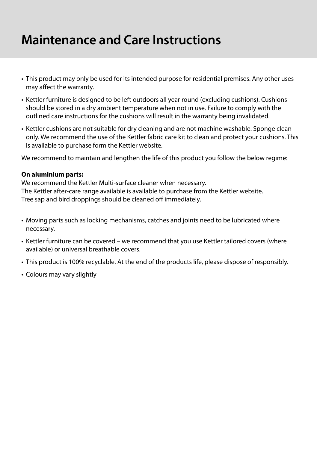#### **Maintenance and Care Instructions**

- This product may only be used for its intended purpose for residential premises. Any other uses may affect the warranty.
- Kettler furniture is designed to be left outdoors all year round (excluding cushions). Cushions should be stored in a dry ambient temperature when not in use. Failure to comply with the outlined care instructions for the cushions will result in the warranty being invalidated.
- Kettler cushions are not suitable for dry cleaning and are not machine washable. Sponge clean only. We recommend the use of the Kettler fabric care kit to clean and protect your cushions. This is available to purchase form the Kettler website.

We recommend to maintain and lengthen the life of this product you follow the below regime:

#### **On aluminium parts:**

We recommend the Kettler Multi-surface cleaner when necessary. The Kettler after-care range available is available to purchase from the Kettler website. Tree sap and bird droppings should be cleaned off immediately.

- Moving parts such as locking mechanisms, catches and joints need to be lubricated where necessary.
- Kettler furniture can be covered we recommend that you use Kettler tailored covers (where available) or universal breathable covers.
- This product is 100% recyclable. At the end of the products life, please dispose of responsibly.
- Colours may vary slightly